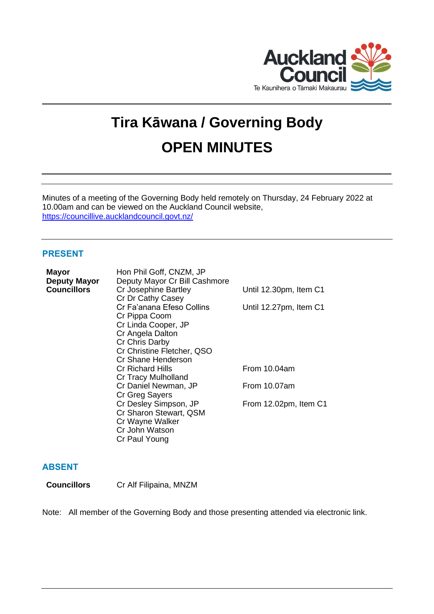

# **Tira Kāwana / Governing Body OPEN MINUTES**

Minutes of a meeting of the Governing Body held remotely on Thursday, 24 February 2022 at 10.00am and can be viewed on the Auckland Council website, <https://councillive.aucklandcouncil.govt.nz/>

# **PRESENT**

| <b>Mayor</b>       | Hon Phil Goff, CNZM, JP       |                        |
|--------------------|-------------------------------|------------------------|
| Deputy Mayor       | Deputy Mayor Cr Bill Cashmore |                        |
| <b>Councillors</b> | Cr Josephine Bartley          | Until 12.30pm, Item C1 |
|                    | Cr Dr Cathy Casey             |                        |
|                    | Cr Fa'anana Efeso Collins     | Until 12.27pm, Item C1 |
|                    | Cr Pippa Coom                 |                        |
|                    | Cr Linda Cooper, JP           |                        |
|                    | Cr Angela Dalton              |                        |
|                    | Cr Chris Darby                |                        |
|                    | Cr Christine Fletcher, QSO    |                        |
|                    | Cr Shane Henderson            |                        |
|                    | Cr Richard Hills              | From 10.04am           |
|                    | Cr Tracy Mulholland           |                        |
|                    | Cr Daniel Newman, JP          | From 10.07am           |
|                    | Cr Greg Sayers                |                        |
|                    | Cr Desley Simpson, JP         | From 12.02pm, Item C1  |
|                    | Cr Sharon Stewart, QSM        |                        |
|                    | Cr Wayne Walker               |                        |
|                    | Cr John Watson                |                        |
|                    | Cr Paul Young                 |                        |

# **ABSENT**

**Councillors** Cr Alf Filipaina, MNZM

Note: All member of the Governing Body and those presenting attended via electronic link.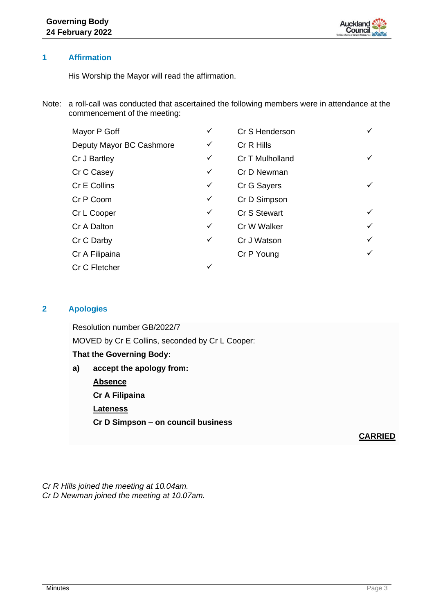

## **1 Affirmation**

His Worship the Mayor will read the affirmation.

Note: a roll-call was conducted that ascertained the following members were in attendance at the commencement of the meeting:

| Mayor P Goff             | ✓            | Cr S Henderson  |              |
|--------------------------|--------------|-----------------|--------------|
| Deputy Mayor BC Cashmore | ✓            | Cr R Hills      |              |
| Cr J Bartley             | ✓            | Cr T Mulholland |              |
| Cr C Casey               | ✓            | Cr D Newman     |              |
| Cr E Collins             | ✓            | Cr G Sayers     |              |
| Cr P Coom                | ✓            | Cr D Simpson    |              |
| Cr L Cooper              | ✓            | Cr S Stewart    |              |
| Cr A Dalton              | ✓            | Cr W Walker     |              |
| Cr C Darby               | $\checkmark$ | Cr J Watson     | $\checkmark$ |
| Cr A Filipaina           |              | Cr P Young      |              |
| Cr C Fletcher            | ✓            |                 |              |

# **2 Apologies**

Resolution number GB/2022/7 MOVED by Cr E Collins, seconded by Cr L Cooper:

#### **That the Governing Body:**

**a) accept the apology from: Absence Cr A Filipaina Lateness Cr D Simpson – on council business**

**CARRIED**

*Cr R Hills joined the meeting at 10.04am. Cr D Newman joined the meeting at 10.07am.*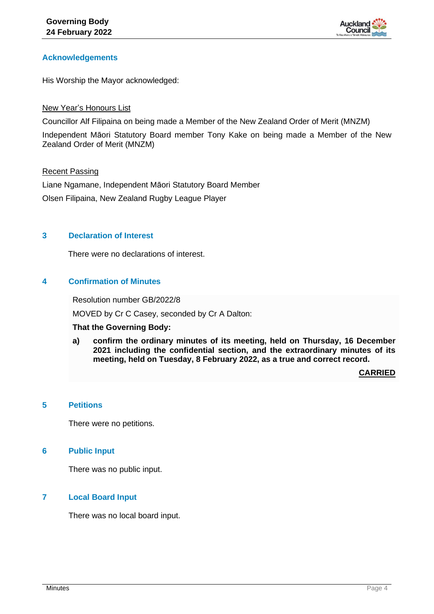

## **Acknowledgements**

His Worship the Mayor acknowledged:

#### New Year's Honours List

Councillor Alf Filipaina on being made a Member of the New Zealand Order of Merit (MNZM)

Independent Māori Statutory Board member Tony Kake on being made a Member of the New Zealand Order of Merit (MNZM)

## Recent Passing

Liane Ngamane, Independent Māori Statutory Board Member Olsen Filipaina, New Zealand Rugby League Player

## **3 Declaration of Interest**

There were no declarations of interest.

# **4 Confirmation of Minutes**

Resolution number GB/2022/8

MOVED by Cr C Casey, seconded by Cr A Dalton:

#### **That the Governing Body:**

**a) confirm the ordinary minutes of its meeting, held on Thursday, 16 December 2021 including the confidential section, and the extraordinary minutes of its meeting, held on Tuesday, 8 February 2022, as a true and correct record.**

**CARRIED**

## **5 Petitions**

There were no petitions.

## **6 Public Input**

There was no public input.

## **7 Local Board Input**

There was no local board input.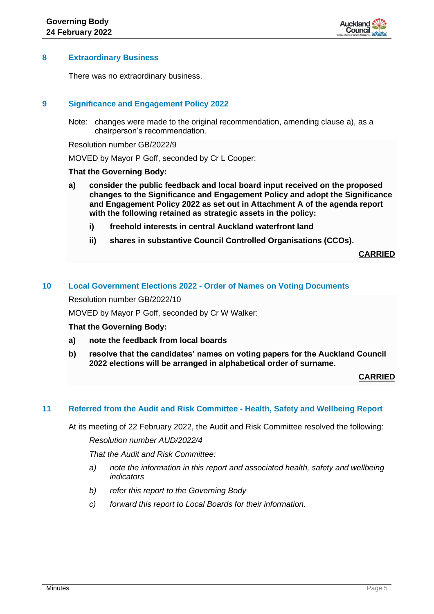

## **8 Extraordinary Business**

There was no extraordinary business.

## **9 Significance and Engagement Policy 2022**

Note: changes were made to the original recommendation, amending clause a), as a chairperson's recommendation.

Resolution number GB/2022/9

MOVED by Mayor P Goff, seconded by Cr L Cooper:

#### **That the Governing Body:**

- **a) consider the public feedback and local board input received on the proposed changes to the Significance and Engagement Policy and adopt the Significance and Engagement Policy 2022 as set out in Attachment A of the agenda report with the following retained as strategic assets in the policy:**
	- **i) freehold interests in central Auckland waterfront land**
	- **ii) shares in substantive Council Controlled Organisations (CCOs).**

**CARRIED**

#### **10 Local Government Elections 2022 - Order of Names on Voting Documents**

Resolution number GB/2022/10

MOVED by Mayor P Goff, seconded by Cr W Walker:

#### **That the Governing Body:**

- **a) note the feedback from local boards**
- **b) resolve that the candidates' names on voting papers for the Auckland Council 2022 elections will be arranged in alphabetical order of surname.**

#### **CARRIED**

#### **11 Referred from the Audit and Risk Committee - Health, Safety and Wellbeing Report**

At its meeting of 22 February 2022, the Audit and Risk Committee resolved the following:

*Resolution number AUD/2022/4*

*That the Audit and Risk Committee:*

- *a) note the information in this report and associated health, safety and wellbeing indicators*
- *b) refer this report to the Governing Body*
- *c) forward this report to Local Boards for their information.*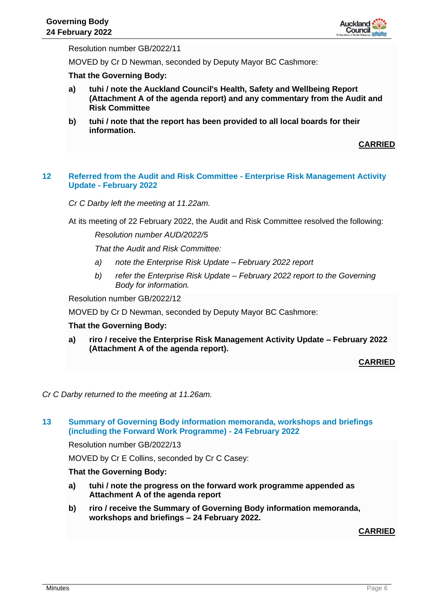

Resolution number GB/2022/11

MOVED by Cr D Newman, seconded by Deputy Mayor BC Cashmore:

#### **That the Governing Body:**

- **a) tuhi / note the Auckland Council's Health, Safety and Wellbeing Report (Attachment A of the agenda report) and any commentary from the Audit and Risk Committee**
- **b) tuhi / note that the report has been provided to all local boards for their information.**

**CARRIED**

#### **12 Referred from the Audit and Risk Committee - Enterprise Risk Management Activity Update - February 2022**

*Cr C Darby left the meeting at 11.22am.*

At its meeting of 22 February 2022, the Audit and Risk Committee resolved the following:

*Resolution number AUD/2022/5*

*That the Audit and Risk Committee:*

- *a) note the Enterprise Risk Update – February 2022 report*
- *b) refer the Enterprise Risk Update – February 2022 report to the Governing Body for information.*

Resolution number GB/2022/12

MOVED by Cr D Newman, seconded by Deputy Mayor BC Cashmore:

#### **That the Governing Body:**

**a) riro / receive the Enterprise Risk Management Activity Update – February 2022 (Attachment A of the agenda report).**

#### **CARRIED**

*Cr C Darby returned to the meeting at 11.26am.*

#### **13 Summary of Governing Body information memoranda, workshops and briefings (including the Forward Work Programme) - 24 February 2022**

Resolution number GB/2022/13

MOVED by Cr E Collins, seconded by Cr C Casey:

#### **That the Governing Body:**

- **a) tuhi / note the progress on the forward work programme appended as Attachment A of the agenda report**
- **b) riro / receive the Summary of Governing Body information memoranda, workshops and briefings – 24 February 2022.**

#### **CARRIED**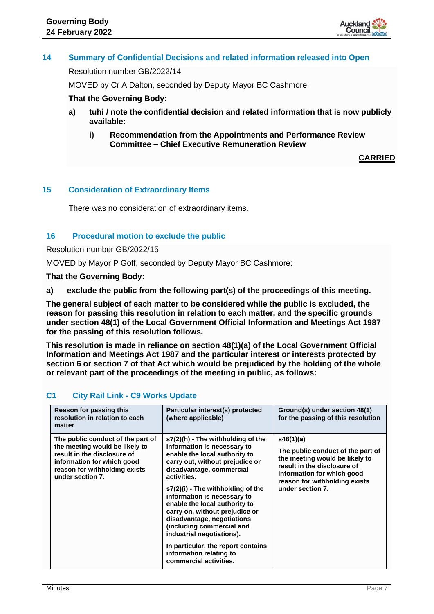

# **14 Summary of Confidential Decisions and related information released into Open**

Resolution number GB/2022/14

MOVED by Cr A Dalton, seconded by Deputy Mayor BC Cashmore:

#### **That the Governing Body:**

- **a) tuhi / note the confidential decision and related information that is now publicly available:**
	- **i) Recommendation from the Appointments and Performance Review Committee – Chief Executive Remuneration Review**

**CARRIED**

## **15 Consideration of Extraordinary Items**

There was no consideration of extraordinary items.

## **16 Procedural motion to exclude the public**

Resolution number GB/2022/15

MOVED by Mayor P Goff, seconded by Deputy Mayor BC Cashmore:

**That the Governing Body:**

**a) exclude the public from the following part(s) of the proceedings of this meeting.**

**The general subject of each matter to be considered while the public is excluded, the reason for passing this resolution in relation to each matter, and the specific grounds under section 48(1) of the Local Government Official Information and Meetings Act 1987 for the passing of this resolution follows.**

**This resolution is made in reliance on section 48(1)(a) of the Local Government Official Information and Meetings Act 1987 and the particular interest or interests protected by section 6 or section 7 of that Act which would be prejudiced by the holding of the whole or relevant part of the proceedings of the meeting in public, as follows:**

## **C1 City Rail Link - C9 Works Update**

| Reason for passing this<br>resolution in relation to each<br>matter                                                                                                                   | Particular interest(s) protected<br>(where applicable)                                                                                                                                                                                                                                                                                                                                                                                                                                                       | Ground(s) under section 48(1)<br>for the passing of this resolution                                                                                                                                |
|---------------------------------------------------------------------------------------------------------------------------------------------------------------------------------------|--------------------------------------------------------------------------------------------------------------------------------------------------------------------------------------------------------------------------------------------------------------------------------------------------------------------------------------------------------------------------------------------------------------------------------------------------------------------------------------------------------------|----------------------------------------------------------------------------------------------------------------------------------------------------------------------------------------------------|
| The public conduct of the part of<br>the meeting would be likely to<br>result in the disclosure of<br>information for which good<br>reason for withholding exists<br>under section 7. | $s7(2)$ (h) - The withholding of the<br>information is necessary to<br>enable the local authority to<br>carry out, without prejudice or<br>disadvantage, commercial<br>activities.<br>s7(2)(i) - The withholding of the<br>information is necessary to<br>enable the local authority to<br>carry on, without prejudice or<br>disadvantage, negotiations<br>(including commercial and<br>industrial negotiations).<br>In particular, the report contains<br>information relating to<br>commercial activities. | s48(1)(a)<br>The public conduct of the part of<br>the meeting would be likely to<br>result in the disclosure of<br>information for which good<br>reason for withholding exists<br>under section 7. |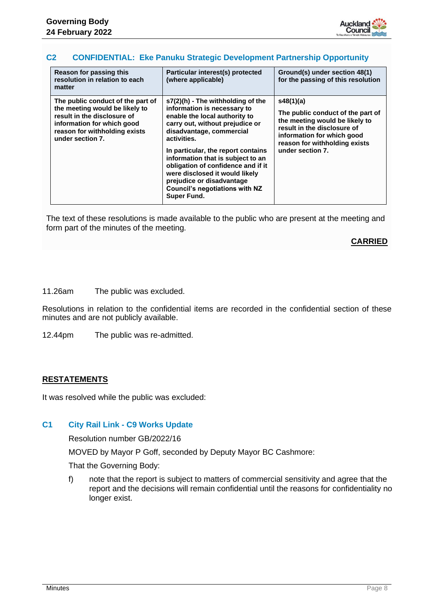

## **C2 CONFIDENTIAL: Eke Panuku Strategic Development Partnership Opportunity**

| Reason for passing this<br>resolution in relation to each<br>matter                                                                                                                   | Particular interest(s) protected<br>(where applicable)                                                                                                                                                                                                                                                                                                                                                                           | Ground(s) under section 48(1)<br>for the passing of this resolution                                                                                                                                |
|---------------------------------------------------------------------------------------------------------------------------------------------------------------------------------------|----------------------------------------------------------------------------------------------------------------------------------------------------------------------------------------------------------------------------------------------------------------------------------------------------------------------------------------------------------------------------------------------------------------------------------|----------------------------------------------------------------------------------------------------------------------------------------------------------------------------------------------------|
| The public conduct of the part of<br>the meeting would be likely to<br>result in the disclosure of<br>information for which good<br>reason for withholding exists<br>under section 7. | $s7(2)(h)$ - The withholding of the<br>information is necessary to<br>enable the local authority to<br>carry out, without prejudice or<br>disadvantage, commercial<br>activities.<br>In particular, the report contains<br>information that is subject to an<br>obligation of confidence and if it<br>were disclosed it would likely<br>prejudice or disadvantage<br><b>Council's negotiations with NZ</b><br><b>Super Fund.</b> | s48(1)(a)<br>The public conduct of the part of<br>the meeting would be likely to<br>result in the disclosure of<br>information for which good<br>reason for withholding exists<br>under section 7. |

The text of these resolutions is made available to the public who are present at the meeting and form part of the minutes of the meeting.

## **CARRIED**

11.26am The public was excluded.

Resolutions in relation to the confidential items are recorded in the confidential section of these minutes and are not publicly available.

12.44pm The public was re-admitted.

## **RESTATEMENTS**

It was resolved while the public was excluded:

## **C1 City Rail Link - C9 Works Update**

Resolution number GB/2022/16

MOVED by Mayor P Goff, seconded by Deputy Mayor BC Cashmore:

That the Governing Body:

f) note that the report is subject to matters of commercial sensitivity and agree that the report and the decisions will remain confidential until the reasons for confidentiality no longer exist.